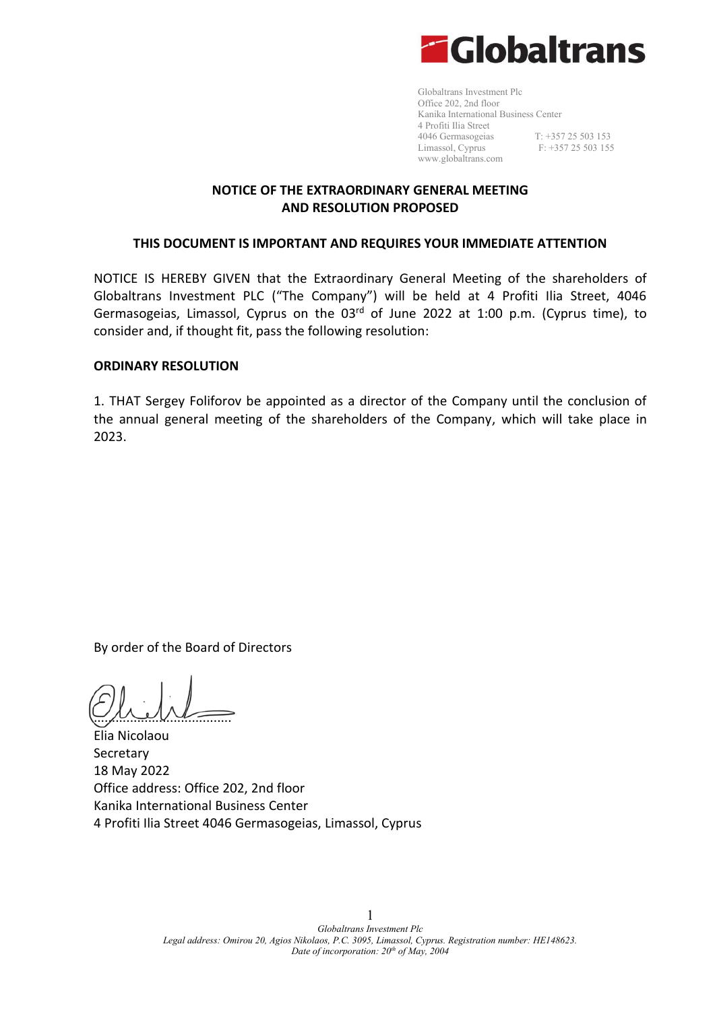

Globaltrans Investment Plc Office 202, 2nd floor Kanika International Business Center 4 Profiti Ilia Street 4046 Germasogeias T: +357 25 503 153 Limassol, Cyprus F: +357 25 503 155 [www.globaltrans.com](http://www.globaltrans.com/)

## **NOTICE OF THE EXTRAORDINARY GENERAL MEETING AND RESOLUTION PROPOSED**

#### **THIS DOCUMENT IS IMPORTANT AND REQUIRES YOUR IMMEDIATE ATTENTION**

NOTICE IS HEREBY GIVEN that the Extraordinary General Meeting of the shareholders of Globaltrans Investment PLC ("The Company") will be held at 4 Profiti Ilia Street, 4046 Germasogeias, Limassol, Cyprus on the  $03<sup>rd</sup>$  of June 2022 at 1:00 p.m. (Cyprus time), to consider and, if thought fit, pass the following resolution:

#### **ORDINARY RESOLUTION**

1. THAT Sergey Foliforov be appointed as a director of the Company until the conclusion of the annual general meeting of the shareholders of the Company, which will take place in 2023.

By order of the Board of Directors

 $\sim$ 

Elia Nicolaou Secretary 18 May 2022 Office address: Office 202, 2nd floor Kanika International Business Center 4 Profiti Ilia Street 4046 Germasogeias, Limassol, Cyprus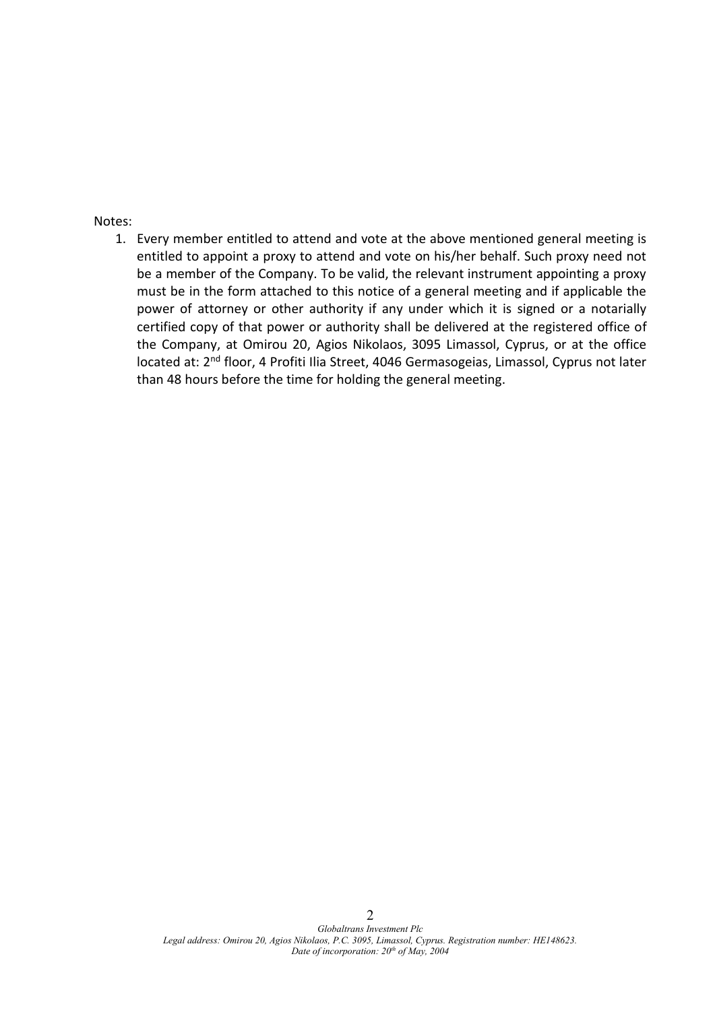#### Notes:

1. Every member entitled to attend and vote at the above mentioned general meeting is entitled to appoint a proxy to attend and vote on his/her behalf. Such proxy need not be a member of the Company. To be valid, the relevant instrument appointing a proxy must be in the form attached to this notice of a general meeting and if applicable the power of attorney or other authority if any under which it is signed or a notarially certified copy of that power or authority shall be delivered at the registered office of the Company, at Omirou 20, Agios Nikolaos, 3095 Limassol, Cyprus, or at the office located at: 2<sup>nd</sup> floor, 4 Profiti Ilia Street, 4046 Germasogeias, Limassol, Cyprus not later than 48 hours before the time for holding the general meeting.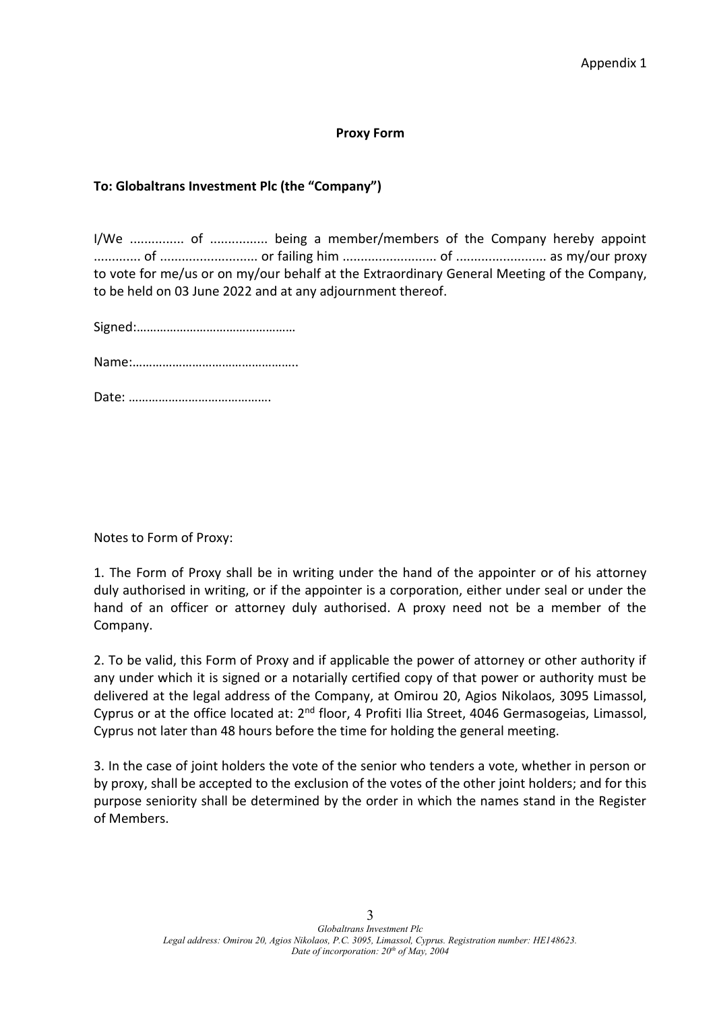#### **Proxy Form**

## To: Globaltrans Investment Plc (the "Company")

I/We ............... of ................ being a member/members of the Company hereby appoint ............. of ........................... or failing him .......................... of ......................... as my/our proxy to vote for me/us or on my/our behalf at the Extraordinary General Meeting of the Company, to be held on 03 June 2022 and at any adjournment thereof.

^ŝŐŶĞĚ͙͙͙͙͙͙͙͙͙͙͙͙͙͙͙͙͗

EĂŵĞ͙͙͙͙͙͙͙͙͙͙͙͙͙͙͙͙͗͘͘

ĂƚĞ͙͙͙͙͙͙͙͙͙͙͙͙͙͙͗͘

Notes to Form of Proxy:

1. The Form of Proxy shall be in writing under the hand of the appointer or of his attorney duly authorised in writing, or if the appointer is a corporation, either under seal or under the hand of an officer or attorney duly authorised. A proxy need not be a member of the Company.

2. To be valid, this Form of Proxy and if applicable the power of attorney or other authority if any under which it is signed or a notarially certified copy of that power or authority must be delivered at the legal address of the Company, at Omirou 20, Agios Nikolaos, 3095 Limassol, Cyprus or at the office located at: 2<sup>nd</sup> floor, 4 Profiti Ilia Street, 4046 Germasogeias, Limassol, Cyprus not later than 48 hours before the time for holding the general meeting.

3. In the case of joint holders the vote of the senior who tenders a vote, whether in person or by proxy, shall be accepted to the exclusion of the votes of the other joint holders; and for this purpose seniority shall be determined by the order in which the names stand in the Register of Members.